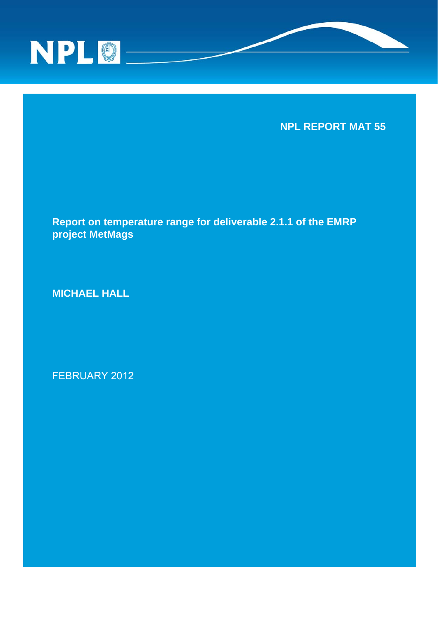

**NPL REPORT MAT 55** 

**Report on temperature range for deliverable 2.1.1 of the EMRP project MetMags** 

**MICHAEL HALL** 

FEBRUARY 2012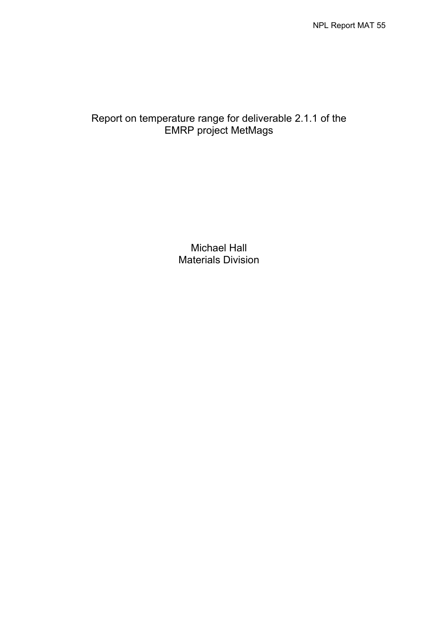# Report on temperature range for deliverable 2.1.1 of the EMRP project MetMags

Michael Hall Materials Division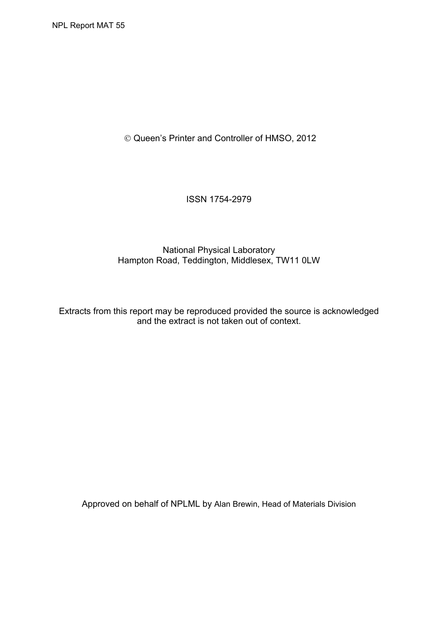Queen's Printer and Controller of HMSO, 2012

ISSN 1754-2979

National Physical Laboratory Hampton Road, Teddington, Middlesex, TW11 0LW

Extracts from this report may be reproduced provided the source is acknowledged and the extract is not taken out of context.

Approved on behalf of NPLML by Alan Brewin, Head of Materials Division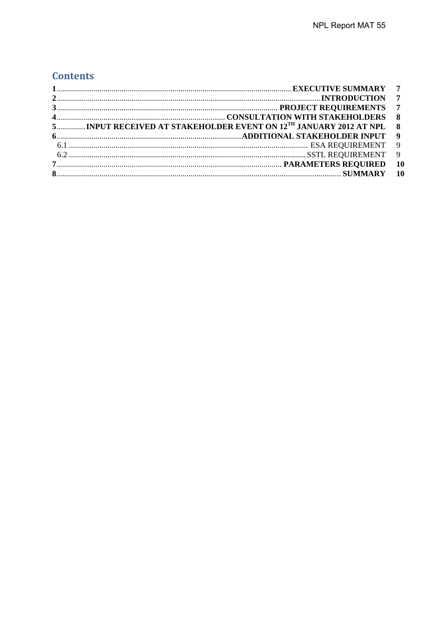# **Contents**

|                                                                    | $\overline{7}$ |
|--------------------------------------------------------------------|----------------|
|                                                                    |                |
|                                                                    |                |
| 5INPUT RECEIVED AT STAKEHOLDER EVENT ON 12TH JANUARY 2012 AT NPL 8 |                |
|                                                                    |                |
|                                                                    |                |
|                                                                    |                |
|                                                                    | - 10           |
|                                                                    | - 10           |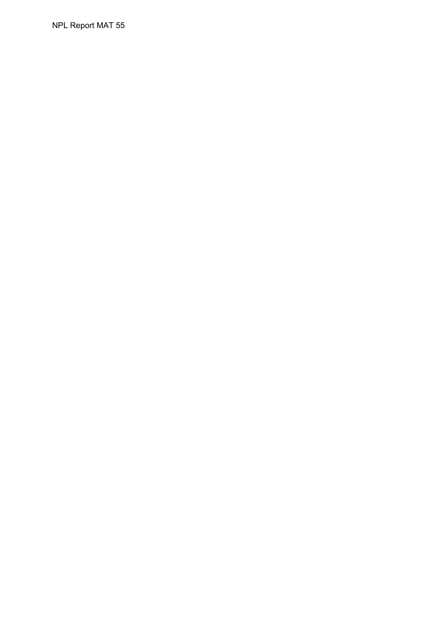NPL Report MAT 55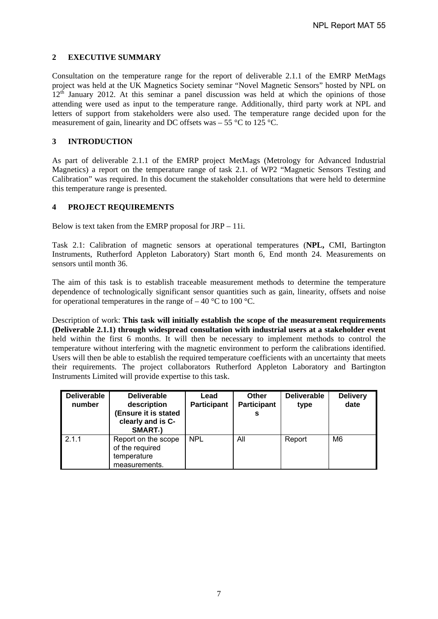#### **2 EXECUTIVE SUMMARY**

Consultation on the temperature range for the report of deliverable 2.1.1 of the EMRP MetMags project was held at the UK Magnetics Society seminar "Novel Magnetic Sensors" hosted by NPL on  $12<sup>th</sup>$  January 2012. At this seminar a panel discussion was held at which the opinions of those attending were used as input to the temperature range. Additionally, third party work at NPL and letters of support from stakeholders were also used. The temperature range decided upon for the measurement of gain, linearity and DC offsets was  $-55$  °C to 125 °C.

#### **3 INTRODUCTION**

As part of deliverable 2.1.1 of the EMRP project MetMags (Metrology for Advanced Industrial Magnetics) a report on the temperature range of task 2.1. of WP2 "Magnetic Sensors Testing and Calibration" was required. In this document the stakeholder consultations that were held to determine this temperature range is presented.

#### **4 PROJECT REQUIREMENTS**

Below is text taken from the EMRP proposal for JRP – 11i.

Task 2.1: Calibration of magnetic sensors at operational temperatures (**NPL,** CMI, Bartington Instruments, Rutherford Appleton Laboratory) Start month 6, End month 24. Measurements on sensors until month 36.

The aim of this task is to establish traceable measurement methods to determine the temperature dependence of technologically significant sensor quantities such as gain, linearity, offsets and noise for operational temperatures in the range of  $-40^{\circ}$ C to 100 °C.

Description of work: **This task will initially establish the scope of the measurement requirements (Deliverable 2.1.1) through widespread consultation with industrial users at a stakeholder event** held within the first 6 months. It will then be necessary to implement methods to control the temperature without interfering with the magnetic environment to perform the calibrations identified. Users will then be able to establish the required temperature coefficients with an uncertainty that meets their requirements. The project collaborators Rutherford Appleton Laboratory and Bartington Instruments Limited will provide expertise to this task.

| <b>Deliverable</b><br>number | <b>Deliverable</b><br>description<br>(Ensure it is stated<br>clearly and is C-<br>SMART <sub>*</sub> ) | Lead<br><b>Participant</b> | Other<br><b>Participant</b><br>s | <b>Deliverable</b><br>type | <b>Delivery</b><br>date |
|------------------------------|--------------------------------------------------------------------------------------------------------|----------------------------|----------------------------------|----------------------------|-------------------------|
| 2.1.1                        | Report on the scope<br>of the required<br>temperature<br>measurements.                                 | NPL                        | All                              | Report                     | M <sub>6</sub>          |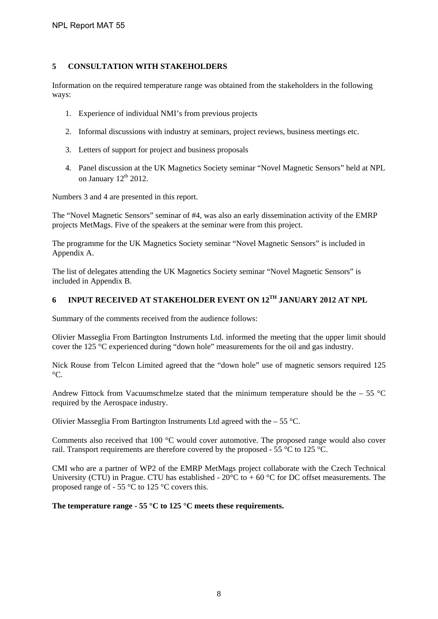#### **5 CONSULTATION WITH STAKEHOLDERS**

Information on the required temperature range was obtained from the stakeholders in the following ways:

- 1. Experience of individual NMI's from previous projects
- 2. Informal discussions with industry at seminars, project reviews, business meetings etc.
- 3. Letters of support for project and business proposals
- 4. Panel discussion at the UK Magnetics Society seminar "Novel Magnetic Sensors" held at NPL on January  $12^{th}$  2012.

Numbers 3 and 4 are presented in this report.

The "Novel Magnetic Sensors" seminar of #4, was also an early dissemination activity of the EMRP projects MetMags. Five of the speakers at the seminar were from this project.

The programme for the UK Magnetics Society seminar "Novel Magnetic Sensors" is included in Appendix A.

The list of delegates attending the UK Magnetics Society seminar "Novel Magnetic Sensors" is included in Appendix B.

#### **6 INPUT RECEIVED AT STAKEHOLDER EVENT ON 12TH JANUARY 2012 AT NPL**

Summary of the comments received from the audience follows:

Olivier Masseglia From Bartington Instruments Ltd. informed the meeting that the upper limit should cover the 125 °C experienced during "down hole" measurements for the oil and gas industry.

Nick Rouse from Telcon Limited agreed that the "down hole" use of magnetic sensors required 125  $\mathrm{C}$ .

Andrew Fittock from Vacuumschmelze stated that the minimum temperature should be the – 55  $^{\circ}C$ required by the Aerospace industry.

Olivier Masseglia From Bartington Instruments Ltd agreed with the – 55 °C.

Comments also received that 100 °C would cover automotive. The proposed range would also cover rail. Transport requirements are therefore covered by the proposed - 55 °C to 125 °C.

CMI who are a partner of WP2 of the EMRP MetMags project collaborate with the Czech Technical University (CTU) in Prague. CTU has established -  $20^{\circ}$ C to + 60 °C for DC offset measurements. The proposed range of - 55  $\degree$ C to 125  $\degree$ C covers this.

**The temperature range - 55 °C to 125 °C meets these requirements.**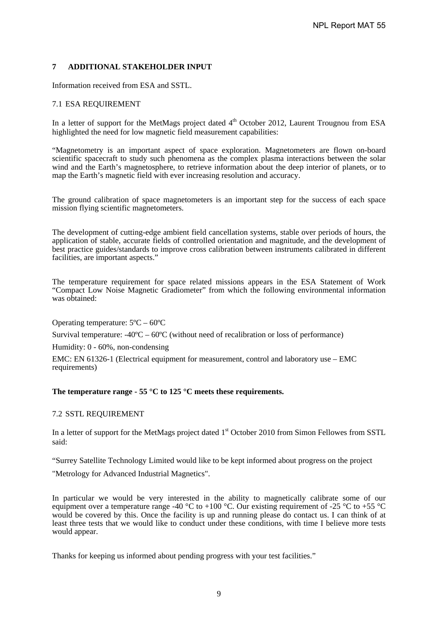#### **7 ADDITIONAL STAKEHOLDER INPUT**

Information received from ESA and SSTL.

#### 7.1 ESA REQUIREMENT

In a letter of support for the MetMags project dated  $4<sup>th</sup>$  October 2012, Laurent Trougnou from ESA highlighted the need for low magnetic field measurement capabilities:

"Magnetometry is an important aspect of space exploration. Magnetometers are flown on-board scientific spacecraft to study such phenomena as the complex plasma interactions between the solar wind and the Earth's magnetosphere, to retrieve information about the deep interior of planets, or to map the Earth's magnetic field with ever increasing resolution and accuracy.

The ground calibration of space magnetometers is an important step for the success of each space mission flying scientific magnetometers.

The development of cutting-edge ambient field cancellation systems, stable over periods of hours, the application of stable, accurate fields of controlled orientation and magnitude, and the development of best practice guides/standards to improve cross calibration between instruments calibrated in different facilities, are important aspects."

The temperature requirement for space related missions appears in the ESA Statement of Work "Compact Low Noise Magnetic Gradiometer" from which the following environmental information was obtained:

Operating temperature: 5ºC – 60ºC

Survival temperature:  $-40^{\circ}\text{C} - 60^{\circ}\text{C}$  (without need of recalibration or loss of performance)

Humidity: 0 - 60%, non-condensing

EMC: EN 61326-1 (Electrical equipment for measurement, control and laboratory use – EMC requirements)

#### **The temperature range - 55 °C to 125 °C meets these requirements.**

#### 7.2 SSTL REQUIREMENT

In a letter of support for the MetMags project dated 1<sup>st</sup> October 2010 from Simon Fellowes from SSTL said:

"Surrey Satellite Technology Limited would like to be kept informed about progress on the project

"Metrology for Advanced Industrial Magnetics".

In particular we would be very interested in the ability to magnetically calibrate some of our equipment over a temperature range -40 °C to +100 °C. Our existing requirement of -25 °C to +55 °C would be covered by this. Once the facility is up and running please do contact us. I can think of at least three tests that we would like to conduct under these conditions, with time I believe more tests would appear.

Thanks for keeping us informed about pending progress with your test facilities."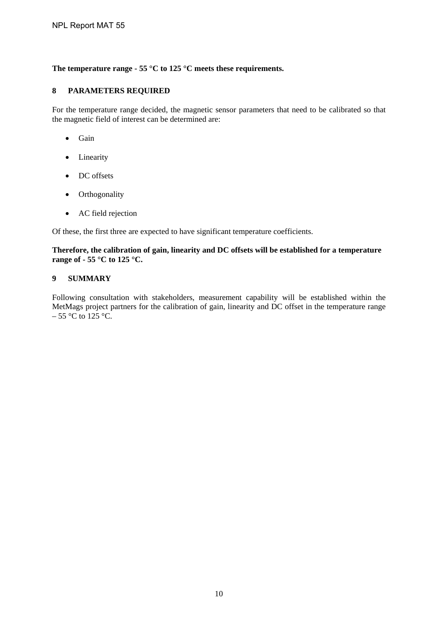#### **The temperature range - 55 °C to 125 °C meets these requirements.**

#### **8 PARAMETERS REQUIRED**

For the temperature range decided, the magnetic sensor parameters that need to be calibrated so that the magnetic field of interest can be determined are:

- $\bullet$  Gain
- Linearity
- DC offsets
- Orthogonality
- AC field rejection

Of these, the first three are expected to have significant temperature coefficients.

#### **Therefore, the calibration of gain, linearity and DC offsets will be established for a temperature range of - 55 °C to 125 °C.**

#### **9 SUMMARY**

Following consultation with stakeholders, measurement capability will be established within the MetMags project partners for the calibration of gain, linearity and DC offset in the temperature range  $-55$  °C to 125 °C.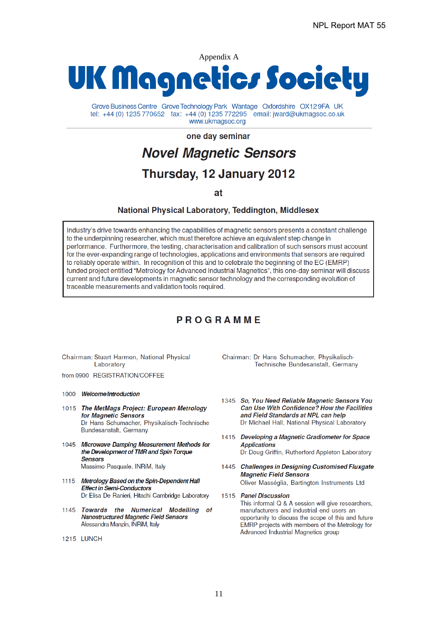

Grove Business Centre Grove Technology Park Wantage Oxfordshire OX129FA UK tel: +44 (0) 1235 770652 fax: +44 (0) 1235 772295 email: iward@ukmagsoc.co.uk www.ukmagsoc.org

one day seminar

# **Novel Magnetic Sensors** Thursday, 12 January 2012

at

#### National Physical Laboratory, Teddington, Middlesex

Industry's drive towards enhancing the capabilities of magnetic sensors presents a constant challenge to the underpinning researcher, which must therefore achieve an equivalent step change in performance. Furthermore, the testing, characterisation and calibration of such sensors must account for the ever-expanding range of technologies, applications and environments that sensors are required to reliably operate within. In recognition of this and to celebrate the beginning of the EC (EMRP) funded project entitled "Metrology for Advanced Industrial Magnetics", this one-day seminar will discuss current and future developments in magnetic sensor technology and the corresponding evolution of traceable measurements and validation tools required.

## **PROGRAMME**

- Chairman: Stuart Harmon, National Physical Laboratory
- from 0900 REGISTRATION/COFFEE
- 1000 Welcome/Introduction
- 1015 The MetMags Project: European Metrology for Magnetic Sensors Dr Hans Schumacher, Physikalisch-Technische **Bundesanstalt, Germany**
- 1045 Microwave Damping Measurement Methods for the Development of TMR and Spin Torque Sensors Massimo Pasquale, INRiM, Italy
- 1115 Metrology Based on the Spin-Dependent Hall **Effect in Semi-Conductors** Dr Elisa De Ranieri, Hitachi Cambridge Laboratory
- 1145 Towards the Numerical Modelling of Nanostructured Magnetic Field Sensors Alessandra Manzin, INRIM, Italy
- 1215 LUNCH
- Chairman: Dr Hans Schumacher, Physikalisch-Technische Bundesanstalt, Germany
- 1345 So. You Need Reliable Magnetic Sensors You Can Use With Confidence? How the Facilities and Field Standards at NPL can help Dr Michael Hall, National Physical Laboratory
- 1415 Developing a Magnetic Gradiometer for Space **Applications** Dr Doug Griffin, Rutherford Appleton Laboratory
- 1445 Challenges in Designing Customised Fluxgate **Magnetic Field Sensors** Oliver Masséglia, Bartington Instruments Ltd

1515 Panel Discussion This informal Q & A session will give researchers, manufacturers and industrial end users an opportunity to discuss the scope of this and future EMRP projects with members of the Metrology for Advanced Industrial Magnetics group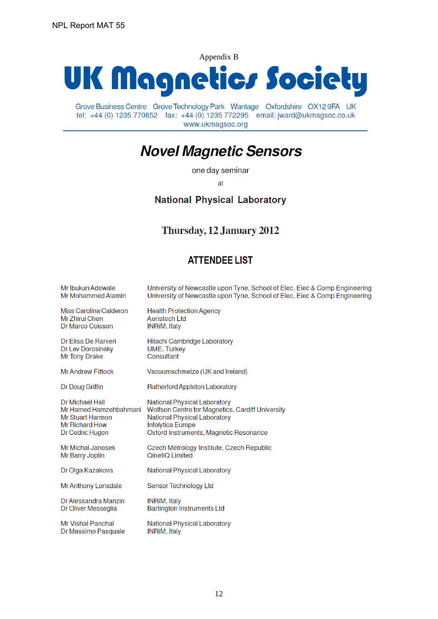# Appendix B UK Magnetics Society

Grove Business Centre Grove Technology Park Wantage Oxfordshire OX129FA UK tel: +44 (0) 1235 770652 fax: +44 (0) 1235 772295 email: jward@ukmagsoc.co.uk www.ukmagsoc.org

# **Novel Magnetic Sensors**

one day seminar

at

### **National Physical Laboratory**

# Thursday, 12 January 2012

# **ATTENDEE LIST**

| Mr Ibukun Adewale          | University of Newcastle upon Tyne, School of Elec, Elec & Comp Engineering |
|----------------------------|----------------------------------------------------------------------------|
| Mr Mohammed Alamin         | University of Newcastle upon Tyne, School of Elec, Elec & Comp Engineering |
| Miss Carolina Calderon     | <b>Health Protection Agency</b>                                            |
| Mr Zhirui Chen             | Aeristech Ltd                                                              |
| Dr Marco Coisson           | <b>INRIM, Italy</b>                                                        |
| Dr Elisa De Ranieri        | <b>Hitachi Cambridge Laboratory</b>                                        |
| Dr Lev Dorosinsky          | <b>UME, Turkey</b>                                                         |
| <b>Mr Tony Drake</b>       | Consultant                                                                 |
| <b>Mr Andrew Fittock</b>   | Vacuumschmelze (UK and Ireland)                                            |
| Dr Doug Griffin            | <b>Rutherford Appleton Laboratory</b>                                      |
| <b>Dr Michael Hall</b>     | <b>National Physical Laboratory</b>                                        |
| Mr Hamed Hamzehbahmani     | Wolfson Centre for Magnetics, Cardiff University                           |
| <b>Mr Stuart Harmon</b>    | <b>National Physical Laboratory</b>                                        |
| <b>Mr Richard How</b>      | <b>Infolytica Europe</b>                                                   |
| Dr Cedric Hugon            | Oxford Instruments, Magnetic Resonance                                     |
| Mr Michal Janosek          | Czech Metrology Institute, Czech Republic                                  |
| Mr Barry Joplin            | <b>QinetiQ Limited</b>                                                     |
| Dr Olga Kazakova           | <b>National Physical Laboratory</b>                                        |
| <b>Mr Anthony Lonsdale</b> | Sensor Technology Ltd                                                      |
| Dr Alessandra Manzin       | <b>INRIM, Italy</b>                                                        |
| Dr Oliver Messeglia        | <b>Bartington Instruments Ltd</b>                                          |
| <b>Mr Vishal Panchal</b>   | <b>National Physical Laboratory</b>                                        |
| Dr Massimo Pasquale        | <b>INRIM, Italy</b>                                                        |